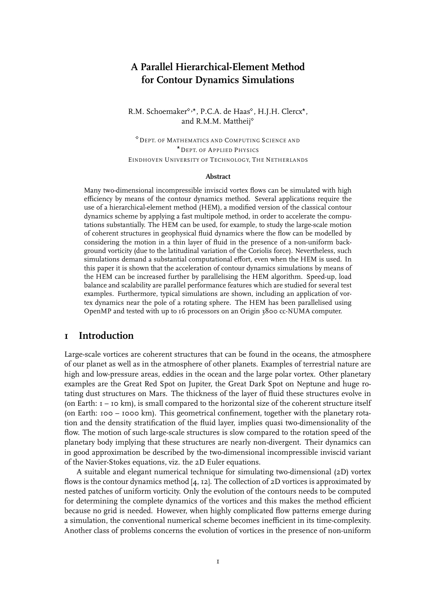# **A Parallel Hierarchical-Element Method for Contour Dynamics Simulations**

R.M. Schoemaker<sup>®,\*</sup>, P.C.A. de Haas<sup>®</sup>, H.J.H. Clercx<sup>\*</sup>, and R.M.M. Mattheij

 DEPT. OF MATHEMATICS AND COMPUTING SCIENCE AND - DEPT. OF APPLIED PHYSICS EINDHOVEN UNIVERSITY OF TECHNOLOGY, THE NETHERLANDS

#### **Abstract**

Many two-dimensional incompressible inviscid vortex flows can be simulated with high efficiency by means of the contour dynamics method. Several applications require the use of a hierarchical-element method (HEM), a modified version of the classical contour dynamics scheme by applying a fast multipole method, in order to accelerate the computations substantially. The HEM can be used, for example, to study the large-scale motion of coherent structures in geophysical fluid dynamics where the flow can be modelled by considering the motion in a thin layer of fluid in the presence of a non-uniform background vorticity (due to the latitudinal variation of the Coriolis force). Nevertheless, such simulations demand a substantial computational effort, even when the HEM is used. In this paper it is shown that the acceleration of contour dynamics simulations by means of the HEM can be increased further by parallelising the HEM algorithm. Speed-up, load balance and scalability are parallel performance features which are studied for several test examples. Furthermore, typical simulations are shown, including an application of vortex dynamics near the pole of a rotating sphere. The HEM has been parallelised using OpenMP and tested with up to 16 processors on an Origin 3800 cc-NUMA computer.

### **1 Introduction**

Large-scale vortices are coherent structures that can be found in the oceans, the atmosphere of our planet as well as in the atmosphere of other planets. Examples of terrestrial nature are high and low-pressure areas, eddies in the ocean and the large polar vortex. Other planetary examples are the Great Red Spot on Jupiter, the Great Dark Spot on Neptune and huge rotating dust structures on Mars. The thickness of the layer of fluid these structures evolve in (on Earth:  $I - IO km$ ), is small compared to the horizontal size of the coherent structure itself (on Earth: 100 – 1000 km). This geometrical confinement, together with the planetary rotation and the density stratification of the fluid layer, implies quasi two-dimensionality of the flow. The motion of such large-scale structures is slow compared to the rotation speed of the planetary body implying that these structures are nearly non-divergent. Their dynamics can in good approximation be described by the two-dimensional incompressible inviscid variant of the Navier-Stokes equations, viz. the 2D Euler equations.

A suitable and elegant numerical technique for simulating two-dimensional (2D) vortex flows is the contour dynamics method  $[4, 12]$ . The collection of  $2D$  vortices is approximated by nested patches of uniform vorticity. Only the evolution of the contours needs to be computed for determining the complete dynamics of the vortices and this makes the method efficient because no grid is needed. However, when highly complicated flow patterns emerge during a simulation, the conventional numerical scheme becomes inefficient in its time-complexity. Another class of problems concerns the evolution of vortices in the presence of non-uniform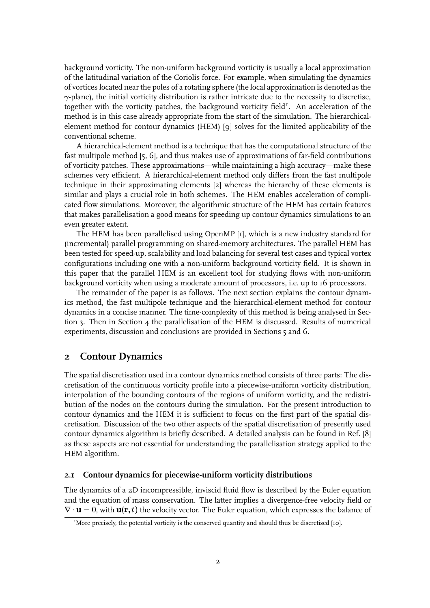background vorticity. The non-uniform background vorticity is usually a local approximation of the latitudinal variation of the Coriolis force. For example, when simulating the dynamics of vortices located near the poles of a rotating sphere (the local approximation is denoted as the  $\gamma$ -plane), the initial vorticity distribution is rather intricate due to the necessity to discretise, together with the vorticity patches, the background vorticity field<sup>1</sup>. An acceleration of the method is in this case already appropriate from the start of the simulation. The hierarchicalelement method for contour dynamics (HEM) [9] solves for the limited applicability of the conventional scheme.

A hierarchical-element method is a technique that has the computational structure of the fast multipole method [5, 6], and thus makes use of approximations of far-field contributions of vorticity patches. These approximations—while maintaining a high accuracy—make these schemes very efficient. A hierarchical-element method only differs from the fast multipole technique in their approximating elements [2] whereas the hierarchy of these elements is similar and plays a crucial role in both schemes. The HEM enables acceleration of complicated flow simulations. Moreover, the algorithmic structure of the HEM has certain features that makes parallelisation a good means for speeding up contour dynamics simulations to an even greater extent.

The HEM has been parallelised using OpenMP [1], which is a new industry standard for (incremental) parallel programming on shared-memory architectures. The parallel HEM has been tested for speed-up, scalability and load balancing for several test cases and typical vortex configurations including one with a non-uniform background vorticity field. It is shown in this paper that the parallel HEM is an excellent tool for studying flows with non-uniform background vorticity when using a moderate amount of processors, i.e. up to 16 processors.

The remainder of the paper is as follows. The next section explains the contour dynamics method, the fast multipole technique and the hierarchical-element method for contour dynamics in a concise manner. The time-complexity of this method is being analysed in Section 3. Then in Section 4 the parallelisation of the HEM is discussed. Results of numerical experiments, discussion and conclusions are provided in Sections 5 and 6.

### **2 Contour Dynamics**

The spatial discretisation used in a contour dynamics method consists of three parts: The discretisation of the continuous vorticity profile into a piecewise-uniform vorticity distribution, interpolation of the bounding contours of the regions of uniform vorticity, and the redistribution of the nodes on the contours during the simulation. For the present introduction to contour dynamics and the HEM it is sufficient to focus on the first part of the spatial discretisation. Discussion of the two other aspects of the spatial discretisation of presently used contour dynamics algorithm is briefly described. A detailed analysis can be found in Ref. [8] as these aspects are not essential for understanding the parallelisation strategy applied to the HEM algorithm.

### **2.1 Contour dynamics for piecewise-uniform vorticity distributions**

The dynamics of a 2D incompressible, inviscid fluid flow is described by the Euler equation and the equation of mass conservation. The latter implies a divergence-free velocity field or  $\nabla \cdot \mathbf{u} = 0,$  with  $\mathbf{u}(\mathbf{r},t)$  the velocity vector. The Euler equation, which expresses the balance of

<sup>&</sup>lt;sup>1</sup>More precisely, the potential vorticity is the conserved quantity and should thus be discretised [10].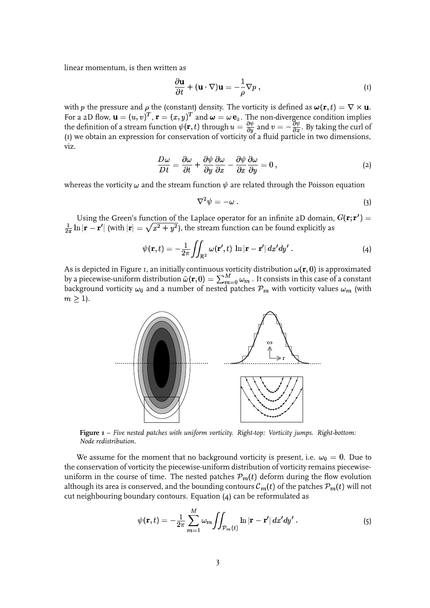linear momentum, is then written as

$$
\frac{\partial \mathbf{u}}{\partial t} + (\mathbf{u} \cdot \nabla) \mathbf{u} = -\frac{1}{\rho} \nabla p , \qquad (1)
$$

with  $p$  the pressure and  $\rho$  the (constant) density. The vorticity is defined as  $\bm{\omega}(\mathbf{r},t)=\nabla\times\mathbf{u}$ . For a 2D flow,  $\mathbf{u} = (u, v)^T$  ,  $\mathbf{r} = (x, y)^T$  and  $\boldsymbol{\omega} = \omega \, \mathbf{e}_z$ . The non-divergence condition implies the definition of a stream function  $\psi(\mathbf{r},t)$  through  $u=\frac{\partial \psi}{\partial u}$  and  $v=-\frac{\partial \psi}{\partial x}$ . By taking the curl of (1) we obtain an expression for conservation of vorticity of a fluid particle in two dimensions, viz.

$$
\frac{D\omega}{Dt} = \frac{\partial\omega}{\partial t} + \frac{\partial\psi}{\partial y}\frac{\partial\omega}{\partial x} - \frac{\partial\psi}{\partial x}\frac{\partial\omega}{\partial y} = 0,
$$
\n(2)

whereas the vorticity  $\omega$  and the stream function  $\psi$  are related through the Poisson equation

$$
\nabla^2 \psi = -\omega \ . \tag{3}
$$

Using the Green's function of the Laplace operator for an infinite 2D domain,  $G({\bf r};{\bf r}')=0$  $\frac{1}{2\pi}\ln|\mathbf{r}-\mathbf{r}'|$  (with  $|\mathbf{r}|=\sqrt{x^2+y^2}$ ), the stream function can be found explicitly as

$$
\psi(\mathbf{r},t) = -\frac{1}{2\pi} \iint_{\mathbb{R}^2} \omega(\mathbf{r}',t) \ln|\mathbf{r} - \mathbf{r}'| dx'dy' . \tag{4}
$$

As is depicted in Figure 1, an initially continuous vorticity distribution  $\omega(\mathbf r,0)$  is approximated by a piecewise-uniform distribution  $\hat{\omega}({\bf r},0)=\sum_{m=0}^M\omega_m$  . It consists in this case of a constant background vorticity  $\omega_0$  and a number of nested patches  $\mathcal{P}_m$  with vorticity values  $\omega_m$  (with  $m \geq 1$ ).



**Figure 1** – *Five nested patches with uniform vorticity. Right-top: Vorticity jumps. Right-bottom: Node redistribution.*

We assume for the moment that no background vorticity is present, i.e.  $\omega_0=0.$  Due to the conservation of vorticity the piecewise-uniform distribution of vorticity remains piecewiseuniform in the course of time. The nested patches  ${\mathcal P}_m(t)$  deform during the flow evolution although its area is conserved, and the bounding contours  ${\cal C}_m(t)$  of the patches  ${\cal P}_m(t)$  will not cut neighbouring boundary contours. Equation (4) can be reformulated as

$$
\psi(\mathbf{r},t) = -\frac{1}{2\pi} \sum_{m=1}^{M} \omega_m \iint_{\mathcal{P}_m(t)} \ln |\mathbf{r} - \mathbf{r}'| dx'dy' . \tag{5}
$$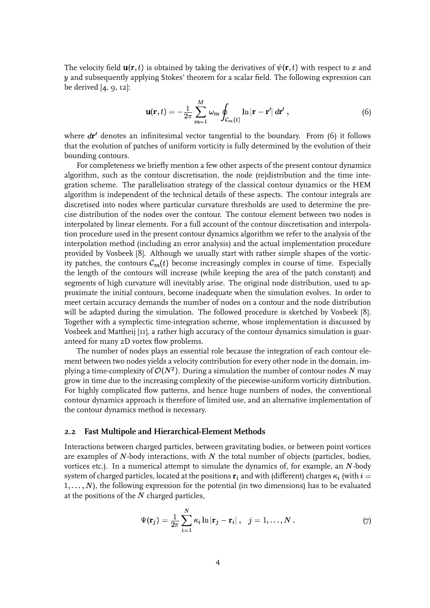The velocity field  $\mathbf{u}(\mathbf{r},t)$  is obtained by taking the derivatives of  $\psi(\mathbf{r},t)$  with respect to  $x$  and  $\boldsymbol{y}$  and subsequently applying Stokes' theorem for a scalar field. The following expression can be derived [4, 9, 12]:

$$
\mathbf{u}(\mathbf{r},t) = -\frac{1}{2\pi} \sum_{m=1}^{M} \omega_m \oint_{\mathcal{C}_m(t)} \ln|\mathbf{r} - \mathbf{r}'| \, d\mathbf{r}' \;, \tag{6}
$$

where  $d{\bf r}'$  denotes an infinitesimal vector tangential to the boundary. From (6) it follows that the evolution of patches of uniform vorticity is fully determined by the evolution of their bounding contours.

For completeness we briefly mention a few other aspects of the present contour dynamics algorithm, such as the contour discretisation, the node (re)distribution and the time integration scheme. The parallelisation strategy of the classical contour dynamics or the HEM algorithm is independent of the technical details of these aspects. The contour integrals are discretised into nodes where particular curvature thresholds are used to determine the precise distribution of the nodes over the contour. The contour element between two nodes is interpolated by linear elements. For a full account of the contour discretisation and interpolation procedure used in the present contour dynamics algorithm we refer to the analysis of the interpolation method (including an error analysis) and the actual implementation procedure provided by Vosbeek [8]. Although we usually start with rather simple shapes of the vorticity patches, the contours  $\mathcal{C}_m(t)$  become increasingly complex in course of time. Especially the length of the contours will increase (while keeping the area of the patch constant) and segments of high curvature will inevitably arise. The original node distribution, used to approximate the initial contours, become inadequate when the simulation evolves. In order to meet certain accuracy demands the number of nodes on a contour and the node distribution will be adapted during the simulation. The followed procedure is sketched by Vosbeek [8]. Together with a symplectic time-integration scheme, whose implementation is discussed by Vosbeek and Mattheij [11], a rather high accuracy of the contour dynamics simulation is guaranteed for many 2D vortex flow problems.

The number of nodes plays an essential role because the integration of each contour element between two nodes yields a velocity contribution for every other node in the domain, implying a time-complexity of  $\mathcal{O}(N^2)$ . During a simulation the number of contour nodes  $N$  may grow in time due to the increasing complexity of the piecewise-uniform vorticity distribution. For highly complicated flow patterns, and hence huge numbers of nodes, the conventional contour dynamics approach is therefore of limited use, and an alternative implementation of the contour dynamics method is necessary.

#### **2.2 Fast Multipole and Hierarchical-Element Methods**

Interactions between charged particles, between gravitating bodies, or between point vortices are examples of  $N\!$ -body interactions, with  $N$  the total number of objects (particles, bodies, vortices etc.). In a numerical attempt to simulate the dynamics of, for example, an  $N\text{-body}$ system of charged particles, located at the positions  ${\bf r}_i$  and with (different) charges  $\kappa_i$  (with  $i=$  $1, \ldots, N$ ), the following expression for the potential (in two dimensions) has to be evaluated at the positions of the  $N$  charged particles,

$$
\Psi(\mathbf{r}_j) = \frac{1}{2\pi} \sum_{i=1}^N \kappa_i \ln |\mathbf{r}_j - \mathbf{r}_i| \ , \quad j = 1, \ldots, N \ . \tag{7}
$$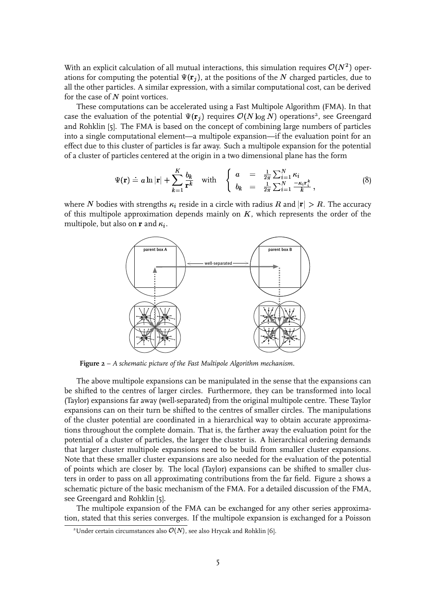With an explicit calculation of all mutual interactions, this simulation requires  $\mathcal{O}(N^2)$  operations for computing the potential  $\Psi(\mathbf{r}_j)$ , at the positions of the  $N$  charged particles, due to all the other particles. A similar expression, with a similar computational cost, can be derived for the case of  $N$  point vortices.

These computations can be accelerated using a Fast Multipole Algorithm (FMA). In that case the evaluation of the potential  $\Psi(\mathbf{r}_j)$  requires  $\mathcal{O}(N\log N)$  operations<sup>2</sup>, see Greengard and Rohklin [5]. The FMA is based on the concept of combining large numbers of particles into a single computational element—a multipole expansion—if the evaluation point for an effect due to this cluster of particles is far away. Such a multipole expansion for the potential of a cluster of particles centered at the origin in a two dimensional plane has the form

$$
\Psi(\mathbf{r}) \doteq a \ln |\mathbf{r}| + \sum_{k=1}^{K} \frac{b_k}{\mathbf{r}^k} \quad \text{with} \quad \begin{cases} a = \frac{1}{2\pi} \sum_{i=1}^{N} \kappa_i \\ b_k = \frac{1}{2\pi} \sum_{i=1}^{N} \frac{-\kappa_i \mathbf{r}_i^k}{k} \end{cases} \tag{8}
$$

where  $N$  bodies with strengths  $\kappa_i$  reside in a circle with radius  $R$  and  $|{\bf r}| > R$ . The accuracy of this multipole approximation depends mainly on  $K$ , which represents the order of the multipole, but also on  ${\bf r}$  and  $\kappa_i.$ 



**Figure 2** – *A schematic picture of the Fast Multipole Algorithm mechanism.*

The above multipole expansions can be manipulated in the sense that the expansions can be shifted to the centres of larger circles. Furthermore, they can be transformed into local (Taylor) expansions far away (well-separated) from the original multipole centre. These Taylor expansions can on their turn be shifted to the centres of smaller circles. The manipulations of the cluster potential are coordinated in a hierarchical way to obtain accurate approximations throughout the complete domain. That is, the farther away the evaluation point for the potential of a cluster of particles, the larger the cluster is. A hierarchical ordering demands that larger cluster multipole expansions need to be build from smaller cluster expansions. Note that these smaller cluster expansions are also needed for the evaluation of the potential of points which are closer by. The local (Taylor) expansions can be shifted to smaller clusters in order to pass on all approximating contributions from the far field. Figure 2 shows a schematic picture of the basic mechanism of the FMA. For a detailed discussion of the FMA, see Greengard and Rohklin [5].

The multipole expansion of the FMA can be exchanged for any other series approximation, stated that this series converges. If the multipole expansion is exchanged for a Poisson

<sup>&</sup>lt;sup>2</sup>Under certain circumstances also  $O(N)$ , see also Hrycak and Rohklin [6].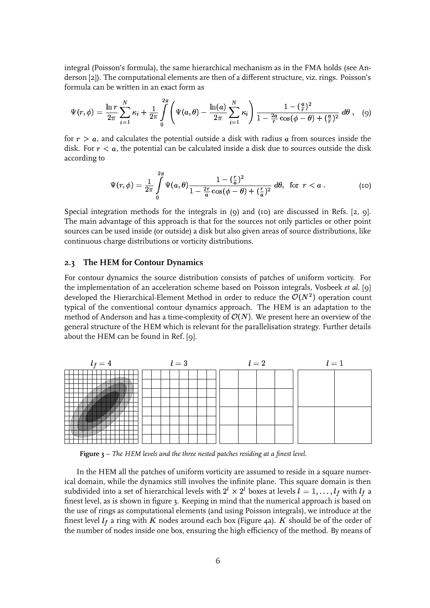integral (Poisson's formula), the same hierarchical mechanism as in the FMA holds (see Anderson [2]). The computational elements are then of a different structure, viz. rings. Poisson's formula can be written in an exact form as

$$
\Psi(r,\phi) = \frac{\ln r}{2\pi} \sum_{i=1}^{N} \kappa_i + \frac{1}{2\pi} \int_{0}^{2\pi} \left( \Psi(a,\theta) - \frac{\ln(a)}{2\pi} \sum_{i=1}^{N} \kappa_i \right) \frac{1 - (\frac{a}{r})^2}{1 - \frac{2a}{r} \cos(\phi - \theta) + (\frac{a}{r})^2} d\theta , \quad (9)
$$

for  $r > a$ , and calculates the potential outside a disk with radius  $a$  from sources inside the disk. For  $r < a$ , the potential can be calculated inside a disk due to sources outside the disk according to

$$
\Psi(r,\phi) = \frac{1}{2\pi} \int\limits_{0}^{2\pi} \Psi(a,\theta) \frac{1 - \left(\frac{r}{a}\right)^2}{1 - \frac{2r}{a}\cos(\phi - \theta) + \left(\frac{r}{a}\right)^2} d\theta, \text{ for } r < a. \tag{10}
$$

Special integration methods for the integrals in (9) and (10) are discussed in Refs. [2, 9]. The main advantage of this approach is that for the sources not only particles or other point sources can be used inside (or outside) a disk but also given areas of source distributions, like continuous charge distributions or vorticity distributions.

#### **2.3 The HEM for Contour Dynamics**

For contour dynamics the source distribution consists of patches of uniform vorticity. For the implementation of an acceleration scheme based on Poisson integrals, Vosbeek *et al.* [9] developed the Hierarchical-Element Method in order to reduce the  $\mathcal{O}(N^2)$  operation count typical of the conventional contour dynamics approach. The HEM is an adaptation to the method of Anderson and has a time-complexity of  $\mathcal{O}(N).$  We present here an overview of the general structure of the HEM which is relevant for the parallelisation strategy. Further details about the HEM can be found in Ref. [9].



**Figure 3** – *The HEM levels and the three nested patches residing at a finest level.*

In the HEM all the patches of uniform vorticity are assumed to reside in a square numerical domain, while the dynamics still involves the infinite plane. This square domain is then subdivided into a set of hierarchical levels with  $2^l \times 2^l$  boxes at levels  $l=1,\ldots, l_f$  with  $l_f$  a finest level, as is shown in figure 3. Keeping in mind that the numerical approach is based on the use of rings as computational elements (and using Poisson integrals), we introduce at the finest level  $l_f$  a ring with  $K$  nodes around each box (Figure 4a).  $K$  should be of the order of the number of nodes inside one box, ensuring the high efficiency of the method. By means of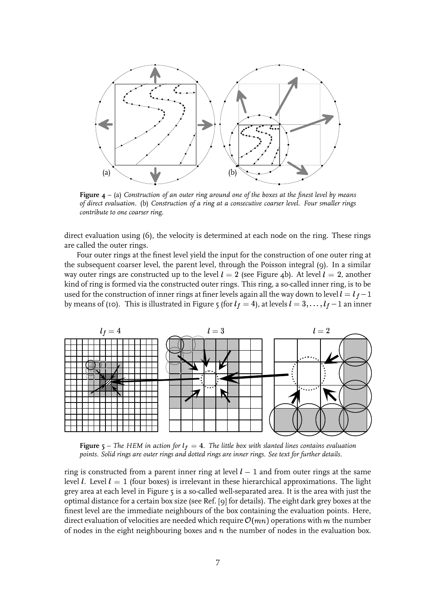

**Figure 4** – (a) *Construction of an outer ring around one of the boxes at the finest level by means of direct evaluation.* (b) *Construction of a ring at a consecutive coarser level. Four smaller rings contribute to one coarser ring.*

direct evaluation using (6), the velocity is determined at each node on the ring. These rings are called the outer rings.

Four outer rings at the finest level yield the input for the construction of one outer ring at the subsequent coarser level, the parent level, through the Poisson integral (9). In a similar way outer rings are constructed up to the level  $l = 2$  (see Figure 4b). At level  $l = 2$ , another kind of ring is formed via the constructed outer rings. This ring, a so-called inner ring, is to be used for the construction of inner rings at finer levels again all the way down to level  $l=l_f-1$ by means of (10). This is illustrated in Figure 5 (for  $l_f = 4$ ), at levels  $l = 3, \ldots, l_f - 1$  an inner



**Figure** 5 – The HEM in action for  $l_f = 4$ . The little box with slanted lines contains evaluation *points. Solid rings are outer rings and dotted rings are inner rings. See text for further details.*

ring is constructed from a parent inner ring at level  $l-1$  and from outer rings at the same level  $l.$  Level  $l=1$  (four boxes) is irrelevant in these hierarchical approximations. The light grey area at each level in Figure 5 is a so-called well-separated area. It is the area with just the optimal distance for a certain box size (see Ref. [9] for details). The eight dark grey boxes at the finest level are the immediate neighbours of the box containing the evaluation points. Here, direct evaluation of velocities are needed which require  $\mathcal{O}(mn)$  operations with  $m$  the number of nodes in the eight neighbouring boxes and  $n$  the number of nodes in the evaluation box.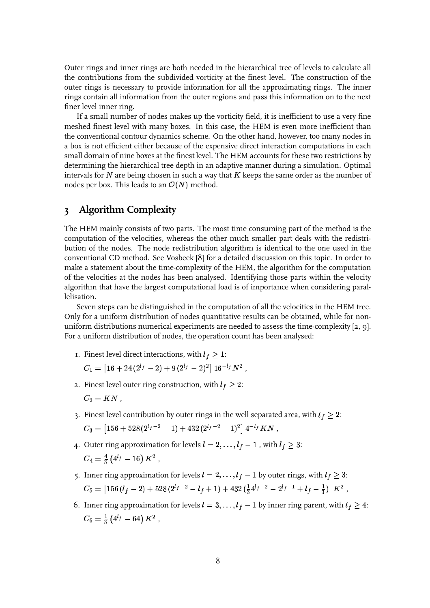Outer rings and inner rings are both needed in the hierarchical tree of levels to calculate all the contributions from the subdivided vorticity at the finest level. The construction of the outer rings is necessary to provide information for all the approximating rings. The inner rings contain all information from the outer regions and pass this information on to the next finer level inner ring.

If a small number of nodes makes up the vorticity field, it is inefficient to use a very fine meshed finest level with many boxes. In this case, the HEM is even more inefficient than the conventional contour dynamics scheme. On the other hand, however, too many nodes in a box is not efficient either because of the expensive direct interaction computations in each small domain of nine boxes at the finest level. The HEM accounts for these two restrictions by determining the hierarchical tree depth in an adaptive manner during a simulation. Optimal intervals for  $N$  are being chosen in such a way that  $K$  keeps the same order as the number of nodes per box. This leads to an  $\mathcal{O}(N)$  method.

## **3 Algorithm Complexity**

The HEM mainly consists of two parts. The most time consuming part of the method is the computation of the velocities, whereas the other much smaller part deals with the redistribution of the nodes. The node redistribution algorithm is identical to the one used in the conventional CD method. See Vosbeek [8] for a detailed discussion on this topic. In order to make a statement about the time-complexity of the HEM, the algorithm for the computation of the velocities at the nodes has been analysed. Identifying those parts within the velocity algorithm that have the largest computational load is of importance when considering parallelisation.

Seven steps can be distinguished in the computation of all the velocities in the HEM tree. Only for a uniform distribution of nodes quantitative results can be obtained, while for nonuniform distributions numerical experiments are needed to assess the time-complexity [2, 9]. For a uniform distribution of nodes, the operation count has been analysed:

1. Finest level direct interactions, with  $l_f\geq 1$ :

 $C_1 = |16+24\,(2^{l_f}-2)+9\,(2^{l_f}-2)^2|\;16^{-l_f}N^2\;,$ 

- 2. Finest level outer ring construction, with  $l_f\geq 2$ :  $C_2 = KN$  ,
- 3. Finest level contribution by outer rings in the well separated area, with  $l_f\geq 2$ :  $C_3 = \left| 156 + 528 (2^{t_f-2} - 1) + 432 (2^{t_f-2} - 1)^2 \right| 4^{-t_f} K N \; ,$
- 4. Outer ring approximation for levels  $l = 2, \ldots, l_f 1$  , with  $l_f \geq 3$ :  $C_4 = \frac{4}{3} \left( 4^{lf} - 16 \right) K^2$  ,
- 5. Inner ring approximation for levels  $l = 2, \ldots, l_f 1$  by outer rings, with  $l_f \geq 3$ :  $C_5 = \left[156\left(l_f - 2\right) + 528\left(2^{l_f - 2} - l_f + 1\right) + 432\left(\frac{1}{2}4^{l_f - 2} - 2^{l_f - 1} + \right)\right]$ *<u>Participate Contract Contract Contract Contract Contract Contract Contract Contract Contract Contract Contract Contract Contract Contract Contract Contract Contract Contract Contract Contract Contract Contract Contract* </u> . . . .  $l_f-\frac{1}{3})\bigr]\,K^2$  ,
- 6. Inner ring approximation for levels  $l = 3, \ldots, l_f 1$  by inner ring parent, with  $l_f \geq 4$ :  $C_6 = \frac{1}{3} \left( 4^{l_f} - 64 \right) K^2$  ,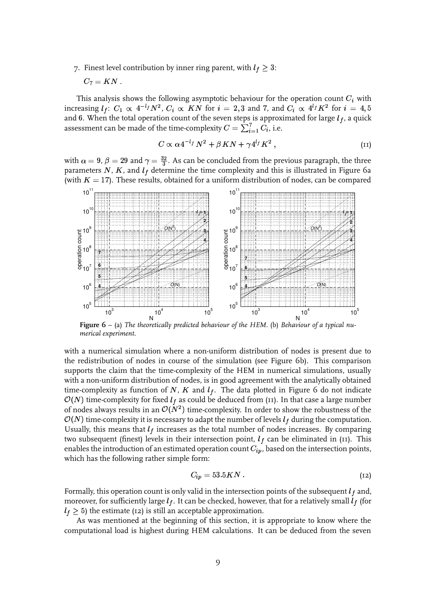7. Finest level contribution by inner ring parent, with  $l_f\geq 3$ :

$$
C_7=KN\;.
$$

This analysis shows the following asymptotic behaviour for the operation count  $C_i$  with increasing  $l_f\colon\thinspace C_1\,\propto\,4^{-l_f}N^2,\thinspace C_i\,\propto\,KN$  for  $i\,=\,2,3$  and 7, and  $C_i\,\propto\,4^{l_f}K^2$  for  $i\,=\,4,5$ and 6. When the total operation count of the seven steps is approximated for large  $l_f$ , a quick assessment can be made of the time-complexity  $C = \sum_{i=1}^{7} C_i$ , i.e.

$$
C \propto \alpha 4^{-l_f} N^2 + \beta K N + \gamma 4^{l_f} K^2 , \qquad (11)
$$

with  $\alpha = 9$ ,  $\beta = 29$  and  $\gamma = \frac{32}{3}$ . As can be concluded from the previous paragraph, the three parameters  $N$ ,  $K$ , and  $l_f$  determine the time complexity and this is illustrated in Figure 6a (with  $K = 17$ ). These results, obtained for a uniform distribution of nodes, can be compared



**Figure 6** – (a) *The theoretically predicted behaviour of the HEM.* (b) *Behaviour of a typical numerical experiment.*

with a numerical simulation where a non-uniform distribution of nodes is present due to the redistribution of nodes in course of the simulation (see Figure 6b). This comparison supports the claim that the time-complexity of the HEM in numerical simulations, usually with a non-uniform distribution of nodes, is in good agreement with the analytically obtained time-complexity as function of N,  $K$  and  $l_f$ . The data plotted in Figure 6 do not indicate  $\mathcal{O}(N)$  time-complexity for fixed  $l_f$  as could be deduced from (11). In that case a large number of nodes always results in an  $\mathcal{O}(N^2)$  time-complexity. In order to show the robustness of the  $\mathcal{O}(N)$  time-complexity it is necessary to adapt the number of levels  $l_f$  during the computation. Usually, this means that  $l_f$  increases as the total number of nodes increases. By comparing two subsequent (finest) levels in their intersection point,  $l_f$  can be eliminated in (11). This enables the introduction of an estimated operation count  $C_{ip}$  , based on the intersection points, which has the following rather simple form:

$$
C_{ip} = 53.5KN \tag{12}
$$

Formally, this operation count is only valid in the intersection points of the subsequent  $l_f$  and, moreover, for sufficiently large  $l_f.$  It can be checked, however, that for a relatively small  $l_f$  (for  $l_f \geq 5$ ) the estimate (12) is still an acceptable approximation.

As was mentioned at the beginning of this section, it is appropriate to know where the computational load is highest during HEM calculations. It can be deduced from the seven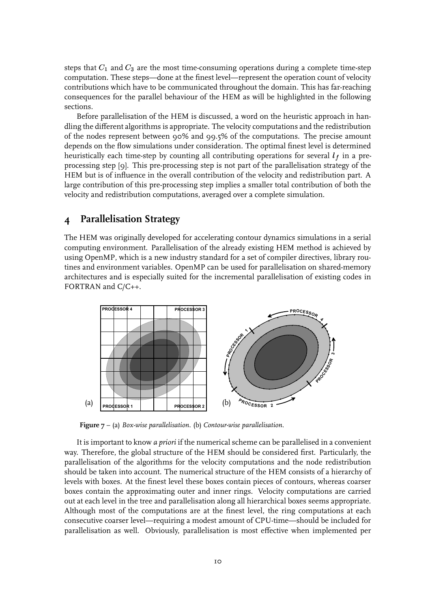steps that  $C_1$  and  $C_3$  are the most time-consuming operations during a complete time-step computation. These steps—done at the finest level—represent the operation count of velocity contributions which have to be communicated throughout the domain. This has far-reaching consequences for the parallel behaviour of the HEM as will be highlighted in the following sections.

Before parallelisation of the HEM is discussed, a word on the heuristic approach in handling the different algorithms is appropriate. The velocity computations and the redistribution of the nodes represent between 90% and 99.5% of the computations. The precise amount depends on the flow simulations under consideration. The optimal finest level is determined heuristically each time-step by counting all contributing operations for several  $l_f$  in a preprocessing step [9]. This pre-processing step is not part of the parallelisation strategy of the HEM but is of influence in the overall contribution of the velocity and redistribution part. A large contribution of this pre-processing step implies a smaller total contribution of both the velocity and redistribution computations, averaged over a complete simulation.

## **4 Parallelisation Strategy**

The HEM was originally developed for accelerating contour dynamics simulations in a serial computing environment. Parallelisation of the already existing HEM method is achieved by using OpenMP, which is a new industry standard for a set of compiler directives, library routines and environment variables. OpenMP can be used for parallelisation on shared-memory architectures and is especially suited for the incremental parallelisation of existing codes in FORTRAN and C/C++.



**Figure 7** – (a) *Box-wise parallelisation.* (b) *Contour-wise parallelisation.*

It is important to know *a priori* if the numerical scheme can be parallelised in a convenient way. Therefore, the global structure of the HEM should be considered first. Particularly, the parallelisation of the algorithms for the velocity computations and the node redistribution should be taken into account. The numerical structure of the HEM consists of a hierarchy of levels with boxes. At the finest level these boxes contain pieces of contours, whereas coarser boxes contain the approximating outer and inner rings. Velocity computations are carried out at each level in the tree and parallelisation along all hierarchical boxes seems appropriate. Although most of the computations are at the finest level, the ring computations at each consecutive coarser level—requiring a modest amount of CPU-time—should be included for parallelisation as well. Obviously, parallelisation is most effective when implemented per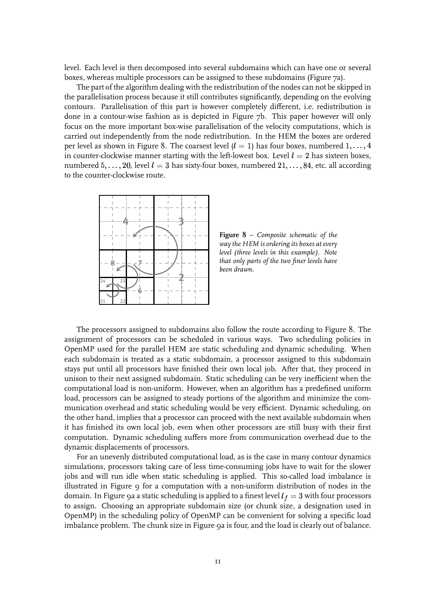level. Each level is then decomposed into several subdomains which can have one or several boxes, whereas multiple processors can be assigned to these subdomains (Figure 7a).

The part of the algorithm dealing with the redistribution of the nodes can not be skipped in the parallelisation process because it still contributes significantly, depending on the evolving contours. Parallelisation of this part is however completely different, i.e. redistribution is done in a contour-wise fashion as is depicted in Figure 7b. This paper however will only focus on the more important box-wise parallelisation of the velocity computations, which is carried out independently from the node redistribution. In the HEM the boxes are ordered per level as shown in Figure 8. The coarsest level ( $l=1$ ) has four boxes, numbered  $1,\ldots,4$ in counter-clockwise manner starting with the left-lowest box. Level  $l = 2$  has sixteen boxes, numbered  $5, \ldots, 20$ , level  $l=3$  has sixty-four boxes, numbered  $21, \ldots, 84$ , etc. all according to the counter-clockwise route.



**Figure 8** – *Composite schematic of the way the HEM is ordering its boxes at every level (three levels in this example). Note that only parts of the two finer levels have been drawn.*

The processors assigned to subdomains also follow the route according to Figure 8. The assignment of processors can be scheduled in various ways. Two scheduling policies in OpenMP used for the parallel HEM are static scheduling and dynamic scheduling. When each subdomain is treated as a static subdomain, a processor assigned to this subdomain stays put until all processors have finished their own local job. After that, they proceed in unison to their next assigned subdomain. Static scheduling can be very inefficient when the computational load is non-uniform. However, when an algorithm has a predefined uniform load, processors can be assigned to steady portions of the algorithm and minimize the communication overhead and static scheduling would be very efficient. Dynamic scheduling, on the other hand, implies that a processor can proceed with the next available subdomain when it has finished its own local job, even when other processors are still busy with their first computation. Dynamic scheduling suffers more from communication overhead due to the dynamic displacements of processors.

For an unevenly distributed computational load, as is the case in many contour dynamics simulations, processors taking care of less time-consuming jobs have to wait for the slower jobs and will run idle when static scheduling is applied. This so-called load imbalance is illustrated in Figure 9 for a computation with a non-uniform distribution of nodes in the domain. In Figure 9a a static scheduling is applied to a finest level  $l_f = 3$  with four processors to assign. Choosing an appropriate subdomain size (or chunk size, a designation used in OpenMP) in the scheduling policy of OpenMP can be convenient for solving a specific load imbalance problem. The chunk size in Figure 9a is four, and the load is clearly out of balance.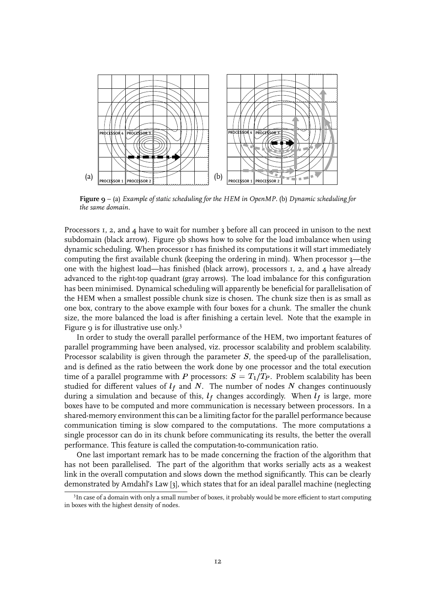

**Figure 9** – (a) *Example of static scheduling for the HEM in OpenMP.* (b) *Dynamic scheduling for the same domain.*

Processors 1, 2, and 4 have to wait for number 3 before all can proceed in unison to the next subdomain (black arrow). Figure 9b shows how to solve for the load imbalance when using dynamic scheduling. When processor 1 has finished its computations it will start immediately computing the first available chunk (keeping the ordering in mind). When processor 3—the one with the highest load—has finished (black arrow), processors  $I$ ,  $2$ , and  $\ddot{A}$  have already advanced to the right-top quadrant (gray arrows). The load imbalance for this configuration has been minimised. Dynamical scheduling will apparently be beneficial for parallelisation of the HEM when a smallest possible chunk size is chosen. The chunk size then is as small as one box, contrary to the above example with four boxes for a chunk. The smaller the chunk size, the more balanced the load is after finishing a certain level. Note that the example in Figure 9 is for illustrative use only.<sup>3</sup>

In order to study the overall parallel performance of the HEM, two important features of parallel programming have been analysed, viz. processor scalability and problem scalability. Processor scalability is given through the parameter  $S$ , the speed-up of the parallelisation, and is defined as the ratio between the work done by one processor and the total execution time of a parallel programme with P processors:  $S = T_1/T_P$ . Problem scalability has been studied for different values of  $l_f$  and  $N$ . The number of nodes  $N$  changes continuously during a simulation and because of this,  $l_f$  changes accordingly. When  $l_f$  is large, more boxes have to be computed and more communication is necessary between processors. In a shared-memory environment this can be a limiting factor for the parallel performance because communication timing is slow compared to the computations. The more computations a single processor can do in its chunk before communicating its results, the better the overall performance. This feature is called the computation-to-communication ratio.

One last important remark has to be made concerning the fraction of the algorithm that has not been parallelised. The part of the algorithm that works serially acts as a weakest link in the overall computation and slows down the method significantly. This can be clearly demonstrated by Amdahl's Law [3], which states that for an ideal parallel machine (neglecting

<sup>&</sup>lt;sup>3</sup>In case of a domain with only a small number of boxes, it probably would be more efficient to start computing in boxes with the highest density of nodes.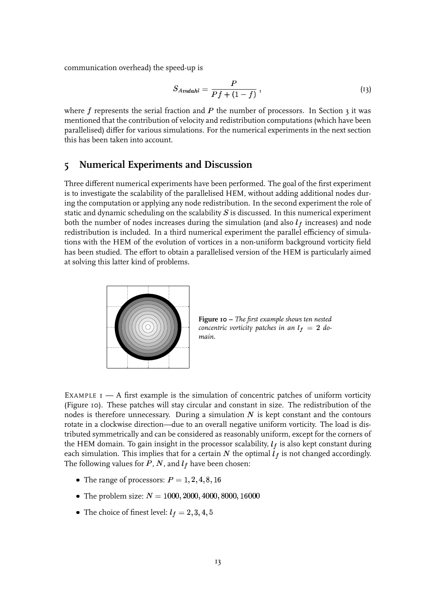communication overhead) the speed-up is

$$
S_{Amdahl} = \frac{P}{Pf + (1 - f)},
$$
\n<sup>(13)</sup>

where f represents the serial fraction and  $P$  the number of processors. In Section 3 it was mentioned that the contribution of velocity and redistribution computations (which have been parallelised) differ for various simulations. For the numerical experiments in the next section this has been taken into account.

## **5 Numerical Experiments and Discussion**

Three different numerical experiments have been performed. The goal of the first experiment is to investigate the scalability of the parallelised HEM, without adding additional nodes during the computation or applying any node redistribution. In the second experiment the role of static and dynamic scheduling on the scalability  $S$  is discussed. In this numerical experiment both the number of nodes increases during the simulation (and also  $l_f$  increases) and node redistribution is included. In a third numerical experiment the parallel efficiency of simulations with the HEM of the evolution of vortices in a non-uniform background vorticity field has been studied. The effort to obtain a parallelised version of the HEM is particularly aimed at solving this latter kind of problems.



**Figure 10 –** *The first example shows ten nested concentric vorticity patches in an*  $l_f = 2$  do*main.*

EXAMPLE  $I$   $-$  A first example is the simulation of concentric patches of uniform vorticity (Figure 10). These patches will stay circular and constant in size. The redistribution of the nodes is therefore unnecessary. During a simulation  $N$  is kept constant and the contours rotate in a clockwise direction—due to an overall negative uniform vorticity. The load is distributed symmetrically and can be considered as reasonably uniform, except for the corners of the HEM domain. To gain insight in the processor scalability,  $l_f$  is also kept constant during each simulation. This implies that for a certain  $N$  the optimal  $l_f$  is not changed accordingly. The following values for  $P$ ,  $N$ , and  $l_f$  have been chosen:

- $\bullet~$  The range of processors:  $P = 1, 2, 4, 8, 16$
- $\bullet \,$  The problem size:  $N=1000, 2000, 4000, 8000, 16000$
- $\bullet\,$  The choice of finest level:  $l_f=2,3,4,5$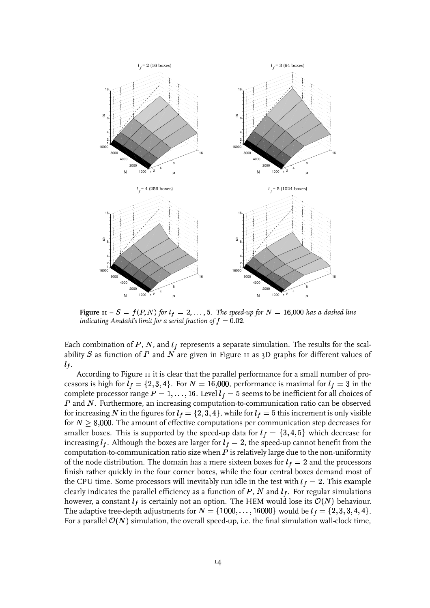

**Figure**  $\textbf{11} - S = f(P, N)$  for  $l_f = 2, \ldots, 5$ . The speed-up for  $N = 16{,}000$  has a dashed line indicating Amdahl's limit for a serial fraction of  $f = 0.02$ .

Each combination of P, N, and  $l_f$  represents a separate simulation. The results for the scalability  $S$  as function of  $P$  and  $N$  are given in Figure 11 as 3D graphs for different values of  $l_f$ .

According to Figure 11 it is clear that the parallel performance for a small number of processors is high for  $l_f=\{2,3,4\}.$  For  $N=16{,}000$ , performance is maximal for  $l_f=3$  in the complete processor range  $P=1,\ldots,16.$  Level  $l_f=5$  seems to be inefficient for all choices of  $\emph{P}$  and  $\emph{N}.$  Furthermore, an increasing computation-to-communication ratio can be observed for increasing  $N$  in the figures for  $l_f=\{2,3,4\}$ , while for  $l_f=5$  this increment is only visible for  $N\geq 8{,}000.$  The amount of effective computations per communication step decreases for smaller boxes. This is supported by the speed-up data for  $l_f = \{3,4,5\}$  which decrease for increasing  $l_f.$  Although the boxes are larger for  $l_f=2$ , the speed-up cannot benefit from the computation-to-communication ratio size when  $P$  is relatively large due to the non-uniformity of the node distribution. The domain has a mere sixteen boxes for  $l_f = 2$  and the processors finish rather quickly in the four corner boxes, while the four central boxes demand most of the CPU time. Some processors will inevitably run idle in the test with  $l_f = 2$ . This example clearly indicates the parallel efficiency as a function of  $P$ ,  $N$  and  $l_f.$  For regular simulations however, a constant  $l_f$  is certainly not an option. The HEM would lose its  $\mathcal{O}(N)$  behaviour. The adaptive tree-depth adjustments for  $N = \{1000, \ldots, 16000\}$  would be  $l_f = \{2,3,3,4,4\}.$ For a parallel  $\mathcal{O}(N)$  simulation, the overall speed-up, i.e. the final simulation wall-clock time,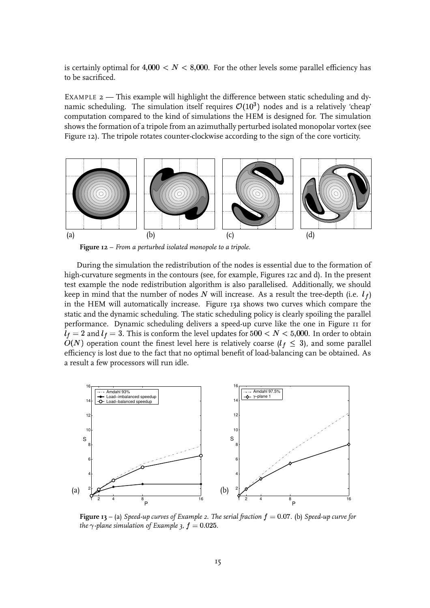is certainly optimal for  $4,\!000 < N < 8,\!000.$  For the other levels some parallel efficiency has to be sacrificed.

EXAMPLE 2 — This example will highlight the difference between static scheduling and dy-¥ namic scheduling. The simulation itself requires  $\mathcal{O}(10^3)$  nodes and is a relatively 'cheap' computation compared to the kind of simulations the HEM is designed for. The simulation shows the formation of a tripole from an azimuthally perturbed isolated monopolar vortex (see Figure 12). The tripole rotates counter-clockwise according to the sign of the core vorticity.



**Figure 12** – *From a perturbed isolated monopole to a tripole.*

During the simulation the redistribution of the nodes is essential due to the formation of high-curvature segments in the contours (see, for example, Figures 12c and d). In the present test example the node redistribution algorithm is also parallelised. Additionally, we should keep in mind that the number of nodes  $N$  will increase. As a result the tree-depth (i.e.  $\,l_f)$ in the HEM will automatically increase. Figure 13a shows two curves which compare the static and the dynamic scheduling. The static scheduling policy is clearly spoiling the parallel performance. Dynamic scheduling delivers a speed-up curve like the one in Figure 11 for  $l_f=2$  and  $l_f=3.$  This is conform the level updates for  $500 < N < 5{,}000.$  In order to obtain  $O(N)$  operation count the finest level here is relatively coarse  $(l_f\,\leq\,3)$ , and some parallel efficiency is lost due to the fact that no optimal benefit of load-balancing can be obtained. As a result a few processors will run idle.



**Figure**  $\mathbf{13} - \mathbf{a}$  *Speed-up curves* of *Example* 2. The *serial* fraction  $f = 0.07$ . (b) *Speed-up curve* for the  $\gamma$  -plane simulation of Example 3,  $f=0.025.$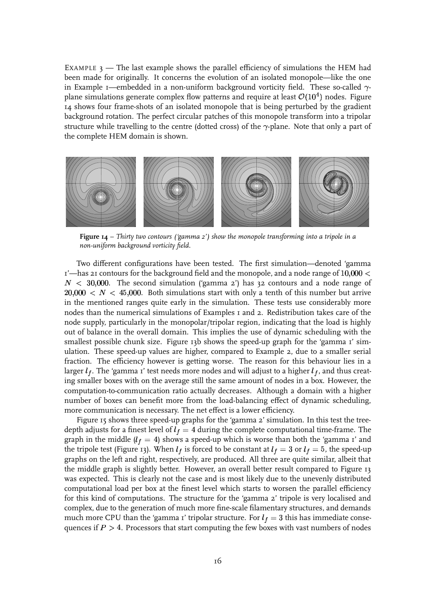EXAMPLE  $3$  — The last example shows the parallel efficiency of simulations the HEM had been made for originally. It concerns the evolution of an isolated monopole—like the one in Example 1—embedded in a non-uniform background vorticity field. These so-called  $\gamma$ plane simulations generate complex flow patterns and require at least  $\mathcal{O}(10^4)$  nodes. Figure 14 shows four frame-shots of an isolated monopole that is being perturbed by the gradient background rotation. The perfect circular patches of this monopole transform into a tripolar structure while travelling to the centre (dotted cross) of the  $\gamma$ -plane. Note that only a part of the complete HEM domain is shown.



**Figure 14** – *Thirty two contours ('gamma 2') show the monopole transforming into a tripole in a non-uniform background vorticity field.*

Two different configurations have been tested. The first simulation—denoted 'gamma 1'—has 21 contours for the background field and the monopole, and a node range of  $10{,}000 < \hspace{-4pt}$  $N~<~30{,}000.~$  The second simulation ('gamma 2') has 32 contours and a node range of  $20{,}000\ <\ N\ <\ 45{,}000.$  Both simulations start with only a tenth of this number but arrive in the mentioned ranges quite early in the simulation. These tests use considerably more nodes than the numerical simulations of Examples 1 and 2. Redistribution takes care of the node supply, particularly in the monopolar/tripolar region, indicating that the load is highly out of balance in the overall domain. This implies the use of dynamic scheduling with the smallest possible chunk size. Figure 13b shows the speed-up graph for the 'gamma 1' simulation. These speed-up values are higher, compared to Example 2, due to a smaller serial fraction. The efficiency however is getting worse. The reason for this behaviour lies in a larger  $l_f.$  The 'gamma 1' test needs more nodes and will adjust to a higher  $l_f,$  and thus creating smaller boxes with on the average still the same amount of nodes in a box. However, the computation-to-communication ratio actually decreases. Although a domain with a higher number of boxes can benefit more from the load-balancing effect of dynamic scheduling, more communication is necessary. The net effect is a lower efficiency.

Figure 15 shows three speed-up graphs for the 'gamma 2' simulation. In this test the treedepth adjusts for a finest level of  $l_f = 4$  during the complete computational time-frame. The graph in the middle ( $l_f=4$ ) shows a speed-up which is worse than both the 'gamma 1' and the tripole test (Figure 13). When  $l_f$  is forced to be constant at  $l_f = 3$  or  $l_f = 5$ , the speed-up graphs on the left and right, respectively, are produced. All three are quite similar, albeit that the middle graph is slightly better. However, an overall better result compared to Figure 13 was expected. This is clearly not the case and is most likely due to the unevenly distributed computational load per box at the finest level which starts to worsen the parallel efficiency for this kind of computations. The structure for the 'gamma 2' tripole is very localised and complex, due to the generation of much more fine-scale filamentary structures, and demands much more CPU than the 'gamma 1' tripolar structure. For  $l_f = 3$  this has immediate consequences if  $P > 4$ . Processors that start computing the few boxes with vast numbers of nodes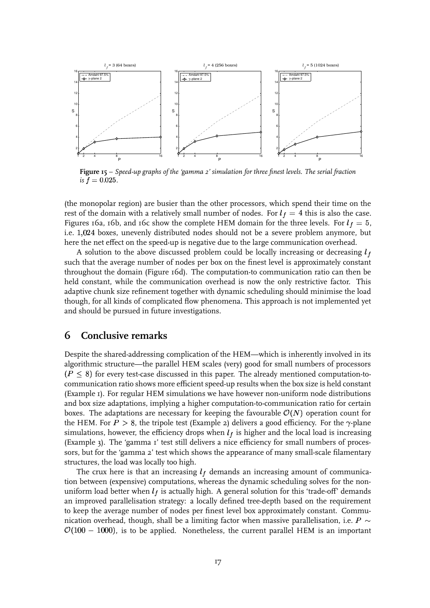

**Figure 15** – *Speed-up graphs of the 'gamma 2' simulation for three finest levels. The serial fraction* is  $f=0.025$  .

(the monopolar region) are busier than the other processors, which spend their time on the rest of the domain with a relatively small number of nodes. For  $l_f = 4$  this is also the case. Figures 16a, 16b, and 16c show the complete HEM domain for the three levels. For  $l_f = 5$ , i.e. boxes, unevenly distributed nodes should not be a severe problem anymore, but here the net effect on the speed-up is negative due to the large communication overhead.

A solution to the above discussed problem could be locally increasing or decreasing  $l_f$ such that the average number of nodes per box on the finest level is approximately constant throughout the domain (Figure 16d). The computation-to communication ratio can then be held constant, while the communication overhead is now the only restrictive factor. This adaptive chunk size refinement together with dynamic scheduling should minimise the load though, for all kinds of complicated flow phenomena. This approach is not implemented yet and should be pursued in future investigations.

## **6 Conclusive remarks**

Despite the shared-addressing complication of the HEM—which is inherently involved in its algorithmic structure—the parallel HEM scales (very) good for small numbers of processors  $\left(P\leq8\right)$  for every test-case discussed in this paper. The already mentioned computation-tocommunication ratio shows more efficient speed-up results when the box size is held constant (Example 1). For regular HEM simulations we have however non-uniform node distributions and box size adaptations, implying a higher computation-to-communication ratio for certain boxes. The adaptations are necessary for keeping the favourable  $\mathcal{O}(N)$  operation count for the HEM. For  $P>8$ , the tripole test (Example 2) delivers a good efficiency. For the  $\gamma$ -plane simulations, however, the efficiency drops when  $l_f$  is higher and the local load is increasing (Example 3). The 'gamma 1' test still delivers a nice efficiency for small numbers of processors, but for the 'gamma 2' test which shows the appearance of many small-scale filamentary structures, the load was locally too high.

The crux here is that an increasing  $l_f$  demands an increasing amount of communication between (expensive) computations, whereas the dynamic scheduling solves for the nonuniform load better when  $l_f$  is actually high. A general solution for this 'trade-off' demands an improved parallelisation strategy: a locally defined tree-depth based on the requirement to keep the average number of nodes per finest level box approximately constant. Communication overhead, though, shall be a limiting factor when massive parallelisation, i.e.  $P \sim$  $\mathcal{O}(100$  –  $1000)$ , is to be applied. Nonetheless, the current parallel HEM is an important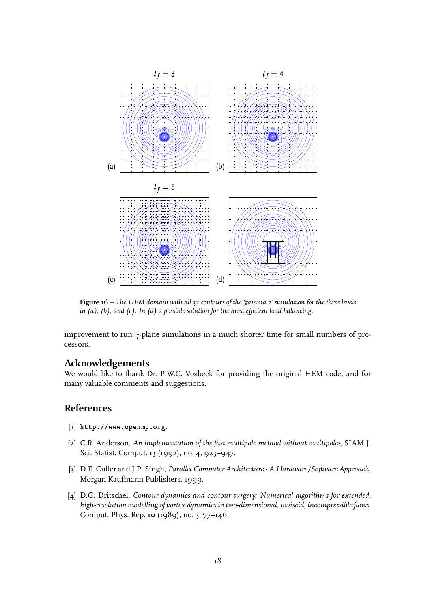

**Figure 16** – *The HEM domain with all 32 contours of the 'gamma 2' simulation for the three levels in (a), (b), and (c). In (d) a possible solution for the most efficient load balancing.*

improvement to run  $\gamma$ -plane simulations in a much shorter time for small numbers of processors.

### **Acknowledgements**

We would like to thank Dr. P.W.C. Vosbeek for providing the original HEM code, and for many valuable comments and suggestions.

## **References**

- $[I]$  http://www.openmp.org.
- [2] C.R. Anderson, *An implementation of the fast multipole method without multipoles*, SIAM J. Sci. Statist. Comput. **13** (1992), no. 4, 923–947.
- [3] D.E. Culler and J.P. Singh, *Parallel ComputerArchitecture- A Hardware/Software Approach*, Morgan Kaufmann Publishers, 1999.
- [4] D.G. Dritschel, *Contour dynamics and contour surgery: Numerical algorithms for extended, high-resolution modelling of vortex dynamics in two-dimensional, inviscid, incompressible flows*, Comput. Phys. Rep. **10** (1989), no. 3, 77–146.